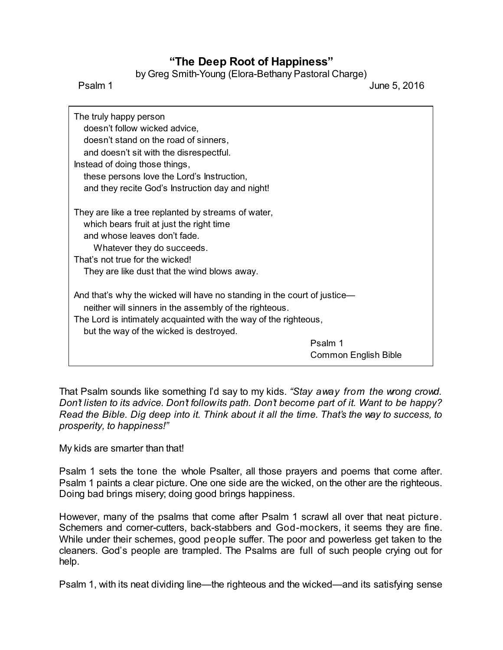## **"The Deep Root of Happiness"**

by Greg Smith-Young (Elora-Bethany Pastoral Charge)

Psalm 1 June 5, 2016

| The truly happy person<br>doesn't follow wicked advice,<br>doesn't stand on the road of sinners,<br>and doesn't sit with the disrespectful.<br>Instead of doing those things,<br>these persons love the Lord's Instruction,<br>and they recite God's Instruction day and night! |                                        |
|---------------------------------------------------------------------------------------------------------------------------------------------------------------------------------------------------------------------------------------------------------------------------------|----------------------------------------|
| They are like a tree replanted by streams of water,<br>which bears fruit at just the right time<br>and whose leaves don't fade.<br>Whatever they do succeeds.<br>That's not true for the wicked!<br>They are like dust that the wind blows away.                                |                                        |
| And that's why the wicked will have no standing in the court of justice—<br>neither will sinners in the assembly of the righteous.<br>The Lord is intimately acquainted with the way of the righteous,<br>but the way of the wicked is destroyed.                               |                                        |
|                                                                                                                                                                                                                                                                                 | Psalm 1<br><b>Common English Bible</b> |

That Psalm sounds like something I'd say to my kids. *"Stay away from the wrong crowd. Don't listen to its advice. Don't followits path. Don't become part of it. Want to be happy? Read the Bible. Dig deep into it. Think about it all the time. That's the way to success, to prosperity, to happiness!"*

My kids are smarter than that!

Psalm 1 sets the tone the whole Psalter, all those prayers and poems that come after. Psalm 1 paints a clear picture. One one side are the wicked, on the other are the righteous. Doing bad brings misery; doing good brings happiness.

However, many of the psalms that come after Psalm 1 scrawl all over that neat picture. Schemers and corner-cutters, back-stabbers and God-mockers, it seems they are fine. While under their schemes, good people suffer. The poor and powerless get taken to the cleaners. God's people are trampled. The Psalms are full of such people crying out for help.

Psalm 1, with its neat dividing line—the righteous and the wicked—and its satisfying sense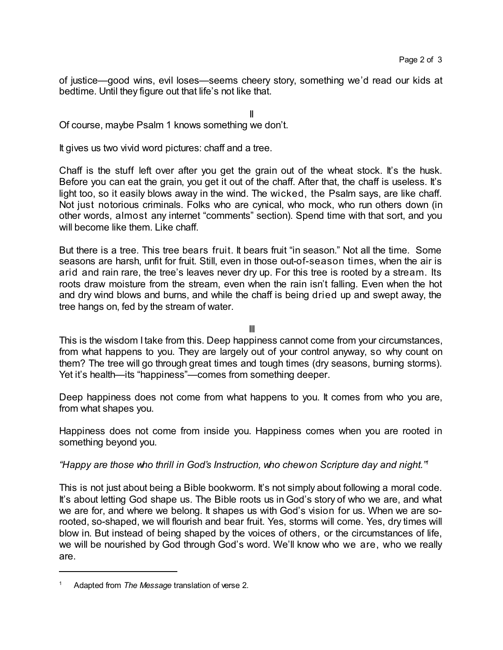of justice—good wins, evil loses—seems cheery story, something we'd read our kids at bedtime. Until they figure out that life's not like that.

II

Of course, maybe Psalm 1 knows something we don't.

It gives us two vivid word pictures: chaff and a tree.

Chaff is the stuff left over after you get the grain out of the wheat stock. It's the husk. Before you can eat the grain, you get it out of the chaff. After that, the chaff is useless. It's light too, so it easily blows away in the wind. The wicked, the Psalm says, are like chaff. Not just notorious criminals. Folks who are cynical, who mock, who run others down (in other words, almost any internet "comments" section). Spend time with that sort, and you will become like them. Like chaff.

But there is a tree. This tree bears fruit. It bears fruit "in season." Not all the time. Some seasons are harsh, unfit for fruit. Still, even in those out-of-season times, when the air is arid and rain rare, the tree's leaves never dry up. For this tree is rooted by a stream. Its roots draw moisture from the stream, even when the rain isn't falling. Even when the hot and dry wind blows and burns, and while the chaff is being dried up and swept away, the tree hangs on, fed by the stream of water.

III

This is the wisdom I take from this. Deep happiness cannot come from your circumstances, from what happens to you. They are largely out of your control anyway, so why count on them? The tree will go through great times and tough times (dry seasons, burning storms). Yet it's health—its "happiness"—comes from something deeper.

Deep happiness does not come from what happens to you. It comes from who you are, from what shapes you.

Happiness does not come from inside you. Happiness comes when you are rooted in something beyond you.

*"Happy are those who thrill in God's Instruction, who chewon Scripture day and night." 1*

This is not just about being a Bible bookworm. It's not simply about following a moral code. It's about letting God shape us. The Bible roots us in God's story of who we are, and what we are for, and where we belong. It shapes us with God's vision for us. When we are sorooted, so-shaped, we will flourish and bear fruit. Yes, storms will come. Yes, dry times will blow in. But instead of being shaped by the voices of others, or the circumstances of life, we will be nourished by God through God's word. We'll know who we are, who we really are.

<sup>1</sup> Adapted from *The Message* translation of verse 2.